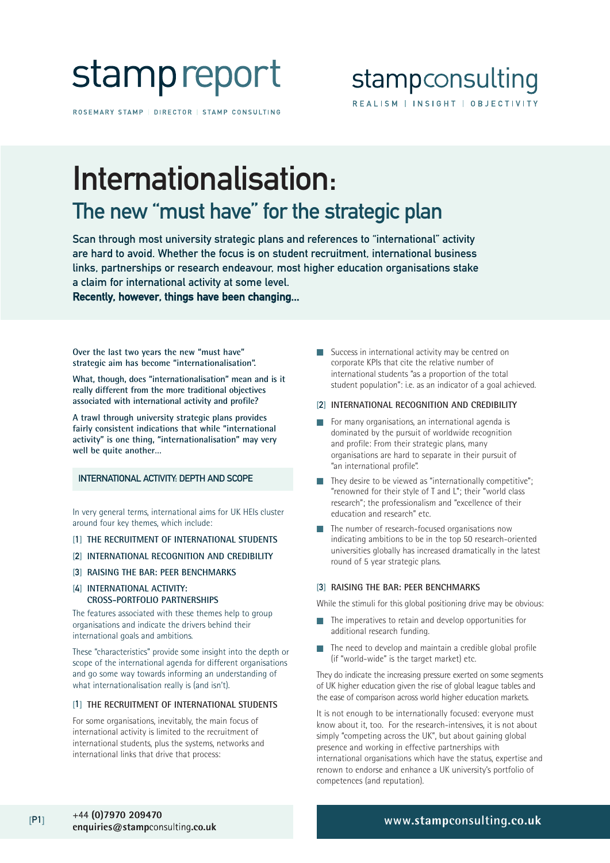

ROSEMARY STAMP | DIRECTOR | STAMP CONSULTING

## stampconsulting REALISM | INSIGHT | OBJECTIVITY

## Internationalisation: The new "must have" for the strategic plan

Scan through most university strategic plans and references to "international" activity are hard to avoid. Whether the focus is on student recruitment, international business links, partnerships or research endeavour, most higher education organisations stake a claim for international activity at some level.

Recently, however, things have been changing...

**Over the last two years the new "must have" strategic aim has become "internationalisation".**

**What, though, does "internationalisation" mean and is it really different from the more traditional objectives associated with international activity and profile?** 

**A trawl through university strategic plans provides fairly consistent indications that while "international activity" is one thing, "internationalisation" may very well be quite another…** 

### INTERNATIONAL ACTIVITY: DEPTH AND SCOPE

In very general terms, international aims for UK HEIs cluster around four key themes, which include:

- [1] **THE RECRUITMENT OF INTERNATIONAL STUDENTS**
- [2] **INTERNATIONAL RECOGNITION AND CREDIBILITY**
- [3] **RAISING THE BAR: PEER BENCHMARKS**
- [4] **INTERNATIONAL ACTIVITY: CROSS-PORTFOLIO PARTNERSHIPS**

The features associated with these themes help to group organisations and indicate the drivers behind their international goals and ambitions.

These "characteristics" provide some insight into the depth or scope of the international agenda for different organisations and go some way towards informing an understanding of what internationalisation really is (and isn't).

#### [1] **THE RECRUITMENT OF INTERNATIONAL STUDENTS**

For some organisations, inevitably, the main focus of international activity is limited to the recruitment of international students, plus the systems, networks and international links that drive that process:

■ Success in international activity may be centred on corporate KPIs that cite the relative number of international students "as a proportion of the total student population": i.e. as an indicator of a goal achieved.

#### [2] **INTERNATIONAL RECOGNITION AND CREDIBILITY**

- For many organisations, an international agenda is dominated by the pursuit of worldwide recognition and profile: From their strategic plans, many organisations are hard to separate in their pursuit of "an international profile".
- They desire to be viewed as "internationally competitive"; "renowned for their style of T and L"; their "world class research"; the professionalism and "excellence of their education and research" etc.
- The number of research-focused organisations now indicating ambitions to be in the top 50 research-oriented universities globally has increased dramatically in the latest round of 5 year strategic plans.

#### [3] **RAISING THE BAR: PEER BENCHMARKS**

While the stimuli for this global positioning drive may be obvious:

- The imperatives to retain and develop opportunities for additional research funding.
- The need to develop and maintain a credible global profile (if "world-wide" is the target market) etc.

They do indicate the increasing pressure exerted on some segments of UK higher education given the rise of global league tables and the ease of comparison across world higher education markets.

It is not enough to be internationally focused: everyone must know about it, too. For the research-intensives, it is not about simply "competing across the UK", but about gaining global presence and working in effective partnerships with international organisations which have the status, expertise and renown to endorse and enhance a UK university's portfolio of competences (and reputation).